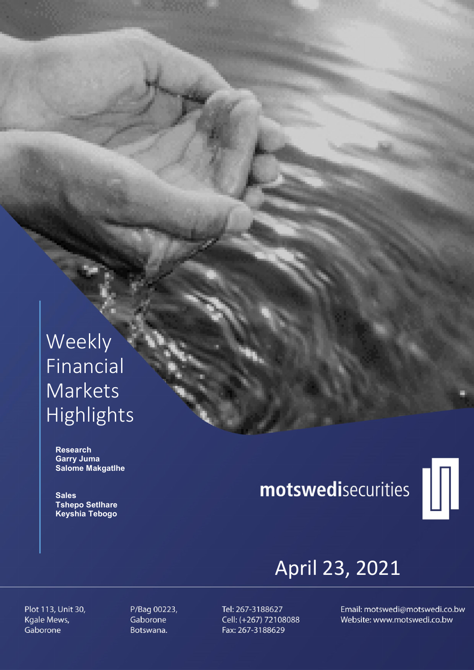## Weekly Financial Markets Highlights

 Research Garry Juma Salome Makgatlhe

**Sales**  Tshepo Setlhare Keyshia Tebogo

# motswedisecurities



## April 23, 2021

Plot 113, Unit 30, Kgale Mews, Gaborone

P/Bag 00223, Gaborone Botswana.

Tel: 267-3188627 Cell: (+267) 72108088 Fax: 267-3188629

Email: motswedi@motswedi.co.bw Website: www.motswedi.co.bw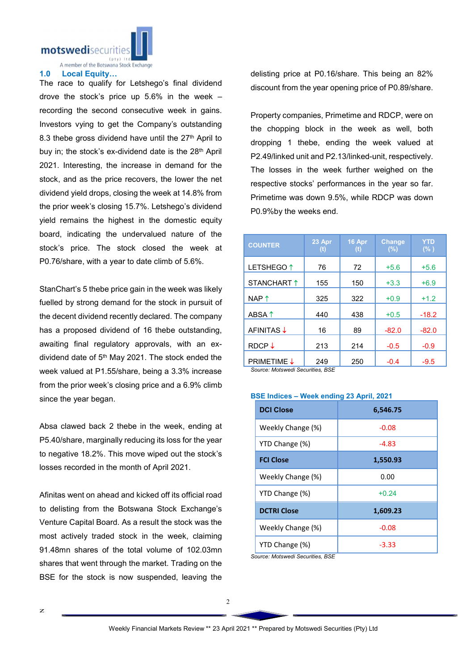motswedisecuriti

A member of the Botswana Stock Exchange

#### 1.0 Local Equity…

The race to qualify for Letshego's final dividend drove the stock's price up 5.6% in the week – recording the second consecutive week in gains. Investors vying to get the Company's outstanding 8.3 thebe gross dividend have until the  $27<sup>th</sup>$  April to buy in; the stock's ex-dividend date is the 28<sup>th</sup> April 2021. Interesting, the increase in demand for the stock, and as the price recovers, the lower the net dividend yield drops, closing the week at 14.8% from the prior week's closing 15.7%. Letshego's dividend yield remains the highest in the domestic equity board, indicating the undervalued nature of the stock's price. The stock closed the week at P0.76/share, with a year to date climb of 5.6%.

StanChart's 5 thebe price gain in the week was likely fuelled by strong demand for the stock in pursuit of the decent dividend recently declared. The company has a proposed dividend of 16 thebe outstanding, awaiting final regulatory approvals, with an exdividend date of  $5<sup>th</sup>$  May 2021. The stock ended the week valued at P1.55/share, being a 3.3% increase from the prior week's closing price and a 6.9% climb since the year began.

Absa clawed back 2 thebe in the week, ending at P5.40/share, marginally reducing its loss for the year to negative 18.2%. This move wiped out the stock's losses recorded in the month of April 2021.

Afinitas went on ahead and kicked off its official road to delisting from the Botswana Stock Exchange's Venture Capital Board. As a result the stock was the most actively traded stock in the week, claiming 91.48mn shares of the total volume of 102.03mn shares that went through the market. Trading on the BSE for the stock is now suspended, leaving the

delisting price at P0.16/share. This being an 82% discount from the year opening price of P0.89/share.

Property companies, Primetime and RDCP, were on the chopping block in the week as well, both dropping 1 thebe, ending the week valued at P2.49/linked unit and P2.13/linked-unit, respectively. The losses in the week further weighed on the respective stocks' performances in the year so far. Primetime was down 9.5%, while RDCP was down P0.9%by the weeks end.

| <b>COUNTER</b>        | 23 Apr<br>(t) | 16 Apr<br>(t) | <b>Change</b><br>(%) | <b>YTD</b><br>$(\% )$ |
|-----------------------|---------------|---------------|----------------------|-----------------------|
| LETSHEGO <sup>1</sup> | 76            | 72            | $+5.6$               | $+5.6$                |
| STANCHART 1           | 155           | 150           | $+3.3$               | $+6.9$                |
| NAP <sup>1</sup>      | 325           | 322           | $+0.9$               | $+1.2$                |
| ABSA 1                | 440           | 438           | $+0.5$               | $-18.2$               |
| <b>AFINITAS↓</b>      | 16            | 89            | $-82.0$              | $-82.0$               |
| $RDCP \downarrow$     | 213           | 214           | $-0.5$               | $-0.9$                |
| <b>PRIMETIME ↓</b>    | 249           | 250           | $-0.4$               | $-9.5$                |

*Source: Motswedi Securities, BSE* 

#### BSE Indices – Week ending 23 April, 2021

| <b>DCI Close</b>   | 6,546.75 |
|--------------------|----------|
| Weekly Change (%)  | $-0.08$  |
| YTD Change (%)     | -4.83    |
| <b>FCI Close</b>   | 1,550.93 |
| Weekly Change (%)  | 0.00     |
| YTD Change (%)     | $+0.24$  |
| <b>DCTRI Close</b> | 1,609.23 |
| Weekly Change (%)  | $-0.08$  |
| YTD Change (%)     | -3.33    |

*Source: Motswedi Securities, BSE*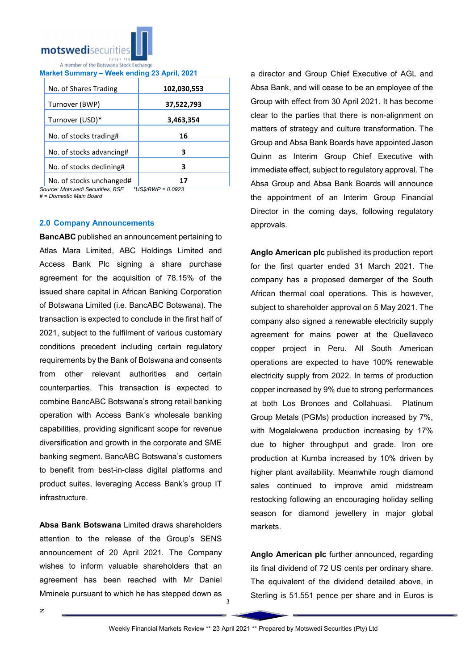

| Market Summary - Week ending 23 April, 2021 |  |  |  |
|---------------------------------------------|--|--|--|
|                                             |  |  |  |

| No. of Shares Trading    | 102,030,553 |
|--------------------------|-------------|
| Turnover (BWP)           | 37,522,793  |
| Turnover (USD)*          | 3,463,354   |
| No. of stocks trading#   | 16          |
| No. of stocks advancing# | З           |
| No. of stocks declining# | 3           |
| No. of stocks unchanged# |             |

*Source: Motswedi Securities, BSE \*US\$/BWP = 0.0923*

*# = Domestic Main Board*

### 2.0 Company Announcements

BancABC published an announcement pertaining to Atlas Mara Limited, ABC Holdings Limited and Access Bank Plc signing a share purchase agreement for the acquisition of 78.15% of the issued share capital in African Banking Corporation of Botswana Limited (i.e. BancABC Botswana). The transaction is expected to conclude in the first half of 2021, subject to the fulfilment of various customary conditions precedent including certain regulatory requirements by the Bank of Botswana and consents from other relevant authorities and certain counterparties. This transaction is expected to combine BancABC Botswana's strong retail banking operation with Access Bank's wholesale banking capabilities, providing significant scope for revenue diversification and growth in the corporate and SME banking segment. BancABC Botswana's customers to benefit from best-in-class digital platforms and product suites, leveraging Access Bank's group IT infrastructure.

Absa Bank Botswana Limited draws shareholders attention to the release of the Group's SENS announcement of 20 April 2021. The Company wishes to inform valuable shareholders that an agreement has been reached with Mr Daniel Mminele pursuant to which he has stepped down as

a director and Group Chief Executive of AGL and Absa Bank, and will cease to be an employee of the Group with effect from 30 April 2021. It has become clear to the parties that there is non-alignment on matters of strategy and culture transformation. The Group and Absa Bank Boards have appointed Jason Quinn as Interim Group Chief Executive with immediate effect, subject to regulatory approval. The Absa Group and Absa Bank Boards will announce the appointment of an Interim Group Financial Director in the coming days, following regulatory approvals.

Anglo American plc published its production report for the first quarter ended 31 March 2021. The company has a proposed demerger of the South African thermal coal operations. This is however, subject to shareholder approval on 5 May 2021. The company also signed a renewable electricity supply agreement for mains power at the Quellaveco copper project in Peru. All South American operations are expected to have 100% renewable electricity supply from 2022. In terms of production copper increased by 9% due to strong performances at both Los Bronces and Collahuasi. Platinum Group Metals (PGMs) production increased by 7%, with Mogalakwena production increasing by 17% due to higher throughput and grade. Iron ore production at Kumba increased by 10% driven by higher plant availability. Meanwhile rough diamond sales continued to improve amid midstream restocking following an encouraging holiday selling season for diamond jewellery in major global markets.

Anglo American plc further announced, regarding its final dividend of 72 US cents per ordinary share. The equivalent of the dividend detailed above, in Sterling is 51.551 pence per share and in Euros is

3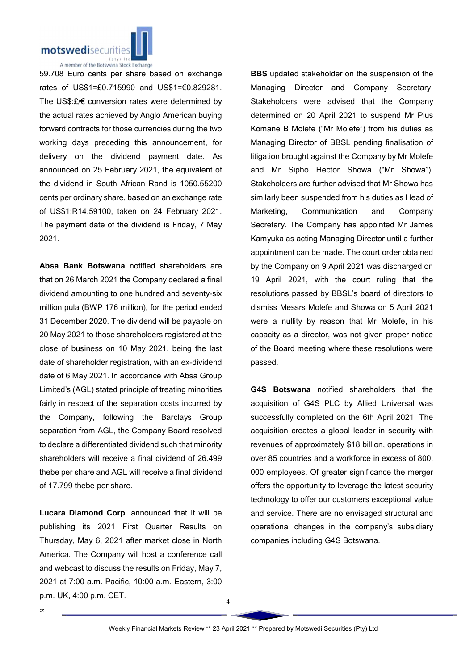

59.708 Euro cents per share based on exchange rates of US\$1=£0.715990 and US\$1=€0.829281. The US\$:£/€ conversion rates were determined by the actual rates achieved by Anglo American buying forward contracts for those currencies during the two working days preceding this announcement, for delivery on the dividend payment date. As announced on 25 February 2021, the equivalent of the dividend in South African Rand is 1050.55200 cents per ordinary share, based on an exchange rate of US\$1:R14.59100, taken on 24 February 2021. The payment date of the dividend is Friday, 7 May 2021.

Absa Bank Botswana notified shareholders are that on 26 March 2021 the Company declared a final dividend amounting to one hundred and seventy-six million pula (BWP 176 million), for the period ended 31 December 2020. The dividend will be payable on 20 May 2021 to those shareholders registered at the close of business on 10 May 2021, being the last date of shareholder registration, with an ex-dividend date of 6 May 2021. In accordance with Absa Group Limited's (AGL) stated principle of treating minorities fairly in respect of the separation costs incurred by the Company, following the Barclays Group separation from AGL, the Company Board resolved to declare a differentiated dividend such that minority shareholders will receive a final dividend of 26.499 thebe per share and AGL will receive a final dividend of 17.799 thebe per share.

Lucara Diamond Corp. announced that it will be publishing its 2021 First Quarter Results on Thursday, May 6, 2021 after market close in North America. The Company will host a conference call and webcast to discuss the results on Friday, May 7, 2021 at 7:00 a.m. Pacific, 10:00 a.m. Eastern, 3:00 p.m. UK, 4:00 p.m. CET.

z

**BBS** updated stakeholder on the suspension of the Managing Director and Company Secretary. Stakeholders were advised that the Company determined on 20 April 2021 to suspend Mr Pius Komane B Molefe ("Mr Molefe") from his duties as Managing Director of BBSL pending finalisation of litigation brought against the Company by Mr Molefe and Mr Sipho Hector Showa ("Mr Showa"). Stakeholders are further advised that Mr Showa has similarly been suspended from his duties as Head of Marketing, Communication and Company Secretary. The Company has appointed Mr James Kamyuka as acting Managing Director until a further appointment can be made. The court order obtained by the Company on 9 April 2021 was discharged on 19 April 2021, with the court ruling that the resolutions passed by BBSL's board of directors to dismiss Messrs Molefe and Showa on 5 April 2021 were a nullity by reason that Mr Molefe, in his capacity as a director, was not given proper notice of the Board meeting where these resolutions were passed.

G4S Botswana notified shareholders that the acquisition of G4S PLC by Allied Universal was successfully completed on the 6th April 2021. The acquisition creates a global leader in security with revenues of approximately \$18 billion, operations in over 85 countries and a workforce in excess of 800, 000 employees. Of greater significance the merger offers the opportunity to leverage the latest security technology to offer our customers exceptional value and service. There are no envisaged structural and operational changes in the company's subsidiary companies including G4S Botswana.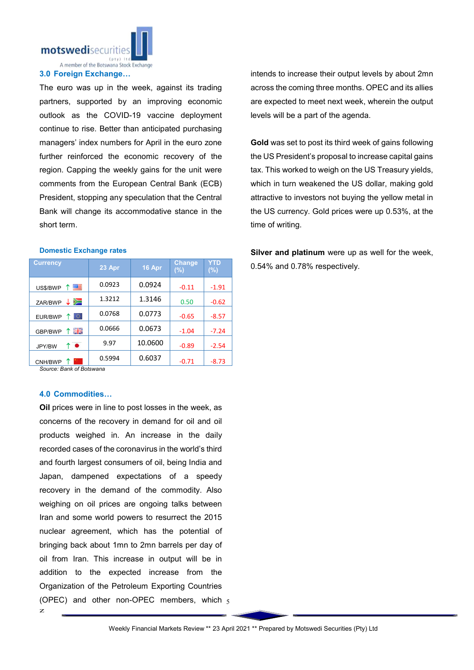

#### 3.0 Foreign Exchange…

The euro was up in the week, against its trading partners, supported by an improving economic outlook as the COVID-19 vaccine deployment continue to rise. Better than anticipated purchasing managers' index numbers for April in the euro zone further reinforced the economic recovery of the region. Capping the weekly gains for the unit were comments from the European Central Bank (ECB) President, stopping any speculation that the Central Bank will change its accommodative stance in the short term.

#### Domestic Exchange rates

| <b>Currency</b> | 23 Apr | 16 Apr  | <b>Change</b><br>$(\% )$ | YTD<br>$(\%)$ |
|-----------------|--------|---------|--------------------------|---------------|
| 四年<br>US\$/BWP  | 0.0923 | 0.0924  | $-0.11$                  | $-1.91$       |
| ∕<br>ZAR/BWP    | 1.3212 | 1.3146  | 0.50                     | $-0.62$       |
| 0<br>EUR/BWP    | 0.0768 | 0.0773  | $-0.65$                  | $-8.57$       |
| 픪똟<br>GBP/BWP   | 0.0666 | 0.0673  | $-1.04$                  | $-7.24$       |
| ↑●<br>JPY/BW    | 9.97   | 10.0600 | $-0.89$                  | $-2.54$       |
| CNH/BWP         | 0.5994 | 0.6037  | $-0.71$                  | $-8.73$       |

*Source: Bank of Botswana*

#### 4.0 Commodities…

z

(OPEC) and other non-OPEC members, which  $_5$ Oil prices were in line to post losses in the week, as concerns of the recovery in demand for oil and oil products weighed in. An increase in the daily recorded cases of the coronavirus in the world's third and fourth largest consumers of oil, being India and Japan, dampened expectations of a speedy recovery in the demand of the commodity. Also weighing on oil prices are ongoing talks between Iran and some world powers to resurrect the 2015 nuclear agreement, which has the potential of bringing back about 1mn to 2mn barrels per day of oil from Iran. This increase in output will be in addition to the expected increase from the Organization of the Petroleum Exporting Countries

intends to increase their output levels by about 2mn across the coming three months. OPEC and its allies are expected to meet next week, wherein the output levels will be a part of the agenda.

Gold was set to post its third week of gains following the US President's proposal to increase capital gains tax. This worked to weigh on the US Treasury yields, which in turn weakened the US dollar, making gold attractive to investors not buying the yellow metal in the US currency. Gold prices were up 0.53%, at the time of writing.

Silver and platinum were up as well for the week, 0.54% and 0.78% respectively.